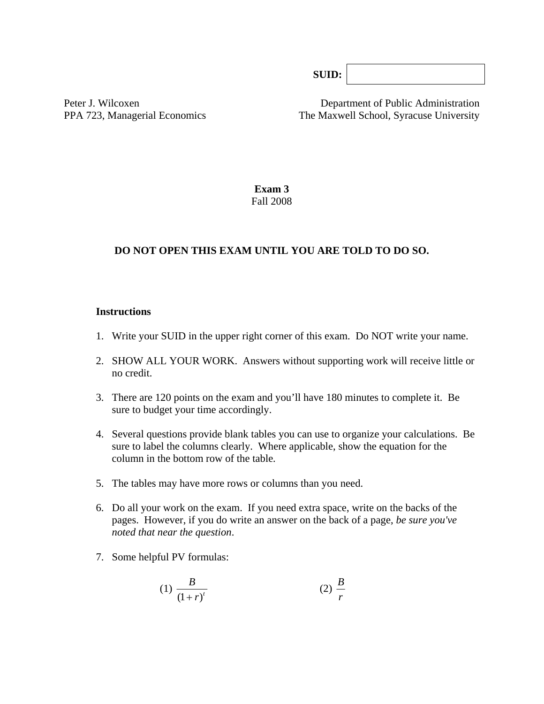**SUID:**

Peter J. Wilcoxen Department of Public Administration PPA 723, Managerial Economics The Maxwell School, Syracuse University

> **Exam 3**  Fall 2008

#### **DO NOT OPEN THIS EXAM UNTIL YOU ARE TOLD TO DO SO.**

#### **Instructions**

- 1. Write your SUID in the upper right corner of this exam. Do NOT write your name.
- 2. SHOW ALL YOUR WORK. Answers without supporting work will receive little or no credit.
- 3. There are 120 points on the exam and you'll have 180 minutes to complete it. Be sure to budget your time accordingly.
- 4. Several questions provide blank tables you can use to organize your calculations. Be sure to label the columns clearly. Where applicable, show the equation for the column in the bottom row of the table*.*
- 5. The tables may have more rows or columns than you need.
- 6. Do all your work on the exam. If you need extra space, write on the backs of the pages. However, if you do write an answer on the back of a page, *be sure you've noted that near the question*.
- 7. Some helpful PV formulas:

(1) 
$$
\frac{B}{(1+r)^t}
$$
 (2)  $\frac{B}{r}$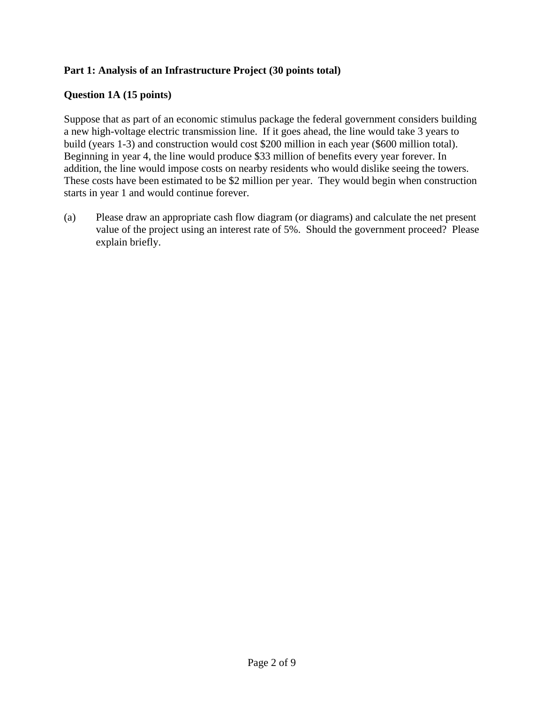## **Part 1: Analysis of an Infrastructure Project (30 points total)**

#### **Question 1A (15 points)**

Suppose that as part of an economic stimulus package the federal government considers building a new high-voltage electric transmission line. If it goes ahead, the line would take 3 years to build (years 1-3) and construction would cost \$200 million in each year (\$600 million total). Beginning in year 4, the line would produce \$33 million of benefits every year forever. In addition, the line would impose costs on nearby residents who would dislike seeing the towers. These costs have been estimated to be \$2 million per year. They would begin when construction starts in year 1 and would continue forever.

(a) Please draw an appropriate cash flow diagram (or diagrams) and calculate the net present value of the project using an interest rate of 5%. Should the government proceed? Please explain briefly.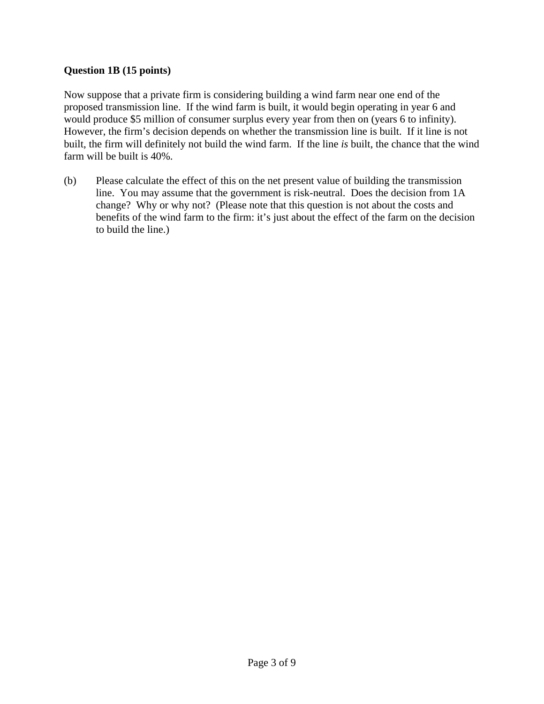## **Question 1B (15 points)**

Now suppose that a private firm is considering building a wind farm near one end of the proposed transmission line. If the wind farm is built, it would begin operating in year 6 and would produce \$5 million of consumer surplus every year from then on (years 6 to infinity). However, the firm's decision depends on whether the transmission line is built. If it line is not built, the firm will definitely not build the wind farm. If the line *is* built, the chance that the wind farm will be built is 40%.

(b) Please calculate the effect of this on the net present value of building the transmission line. You may assume that the government is risk-neutral. Does the decision from 1A change? Why or why not? (Please note that this question is not about the costs and benefits of the wind farm to the firm: it's just about the effect of the farm on the decision to build the line.)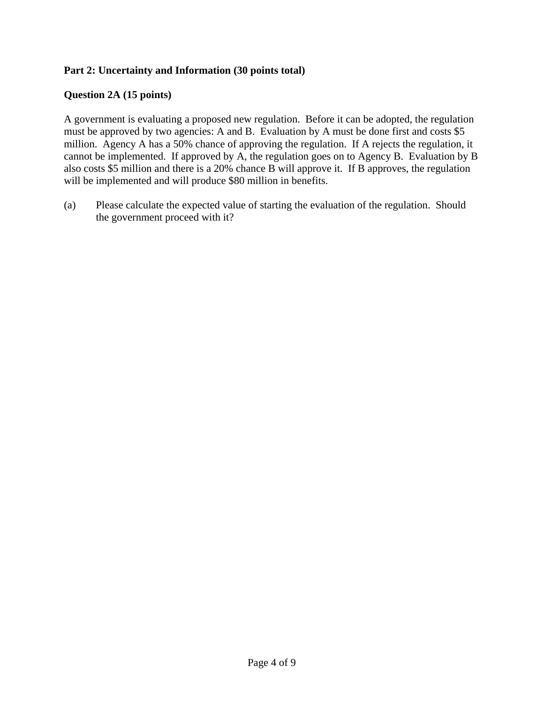## **Part 2: Uncertainty and Information (30 points total)**

#### **Question 2A (15 points)**

A government is evaluating a proposed new regulation. Before it can be adopted, the regulation must be approved by two agencies: A and B. Evaluation by A must be done first and costs \$5 million. Agency A has a 50% chance of approving the regulation. If A rejects the regulation, it cannot be implemented. If approved by A, the regulation goes on to Agency B. Evaluation by B also costs \$5 million and there is a 20% chance B will approve it. If B approves, the regulation will be implemented and will produce \$80 million in benefits.

(a) Please calculate the expected value of starting the evaluation of the regulation. Should the government proceed with it?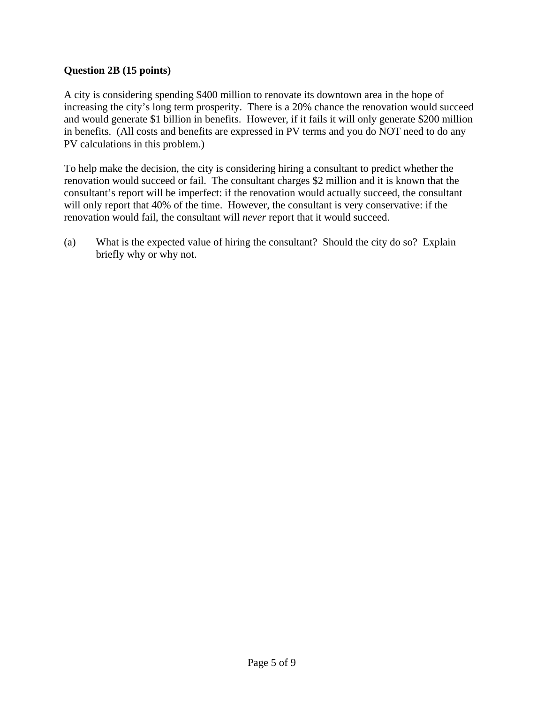#### **Question 2B (15 points)**

A city is considering spending \$400 million to renovate its downtown area in the hope of increasing the city's long term prosperity. There is a 20% chance the renovation would succeed and would generate \$1 billion in benefits. However, if it fails it will only generate \$200 million in benefits. (All costs and benefits are expressed in PV terms and you do NOT need to do any PV calculations in this problem.)

To help make the decision, the city is considering hiring a consultant to predict whether the renovation would succeed or fail. The consultant charges \$2 million and it is known that the consultant's report will be imperfect: if the renovation would actually succeed, the consultant will only report that 40% of the time. However, the consultant is very conservative: if the renovation would fail, the consultant will *never* report that it would succeed.

(a) What is the expected value of hiring the consultant? Should the city do so? Explain briefly why or why not.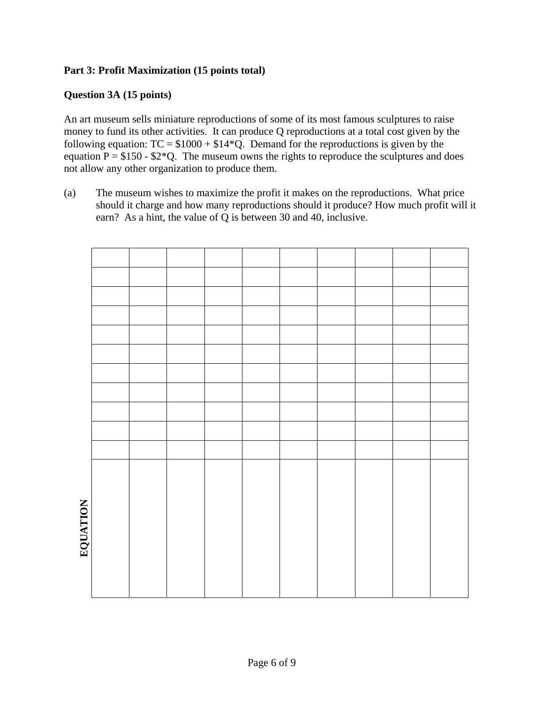## **Part 3: Profit Maximization (15 points total)**

#### **Question 3A (15 points)**

An art museum sells miniature reproductions of some of its most famous sculptures to raise money to fund its other activities. It can produce Q reproductions at a total cost given by the following equation:  $TC = $1000 + $14*Q$ . Demand for the reproductions is given by the equation  $P = $150 - $2*Q$ . The museum owns the rights to reproduce the sculptures and does not allow any other organization to produce them.

(a) The museum wishes to maximize the profit it makes on the reproductions. What price should it charge and how many reproductions should it produce? How much profit will it earn? As a hint, the value of Q is between 30 and 40, inclusive.

| $\overline{5}$<br>۹ |  |  |  |  |  |
|---------------------|--|--|--|--|--|
| ۹<br>¢              |  |  |  |  |  |
| י<br>א              |  |  |  |  |  |
|                     |  |  |  |  |  |
|                     |  |  |  |  |  |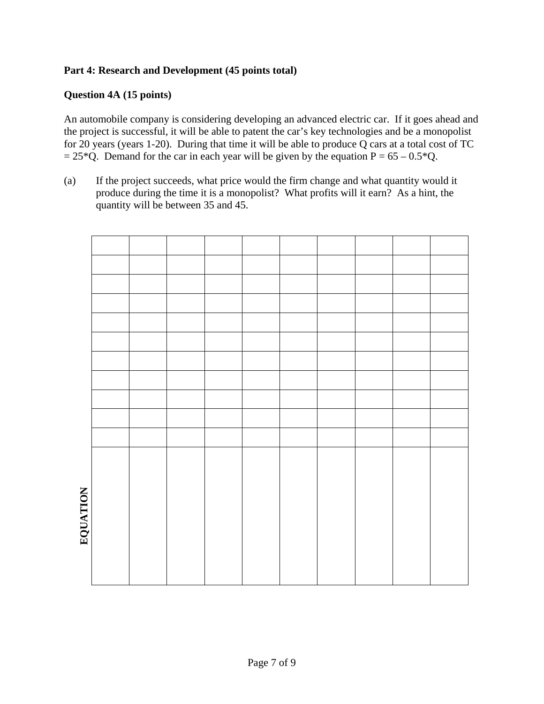## **Part 4: Research and Development (45 points total)**

#### **Question 4A (15 points)**

An automobile company is considering developing an advanced electric car. If it goes ahead and the project is successful, it will be able to patent the car's key technologies and be a monopolist for 20 years (years 1-20). During that time it will be able to produce Q cars at a total cost of TC  $= 25*Q$ . Demand for the car in each year will be given by the equation P = 65 – 0.5\*Q.

(a) If the project succeeds, what price would the firm change and what quantity would it produce during the time it is a monopolist? What profits will it earn? As a hint, the quantity will be between 35 and 45.

| <b>NATIVITY</b> |  |  |  |  |  |
|-----------------|--|--|--|--|--|
|                 |  |  |  |  |  |
|                 |  |  |  |  |  |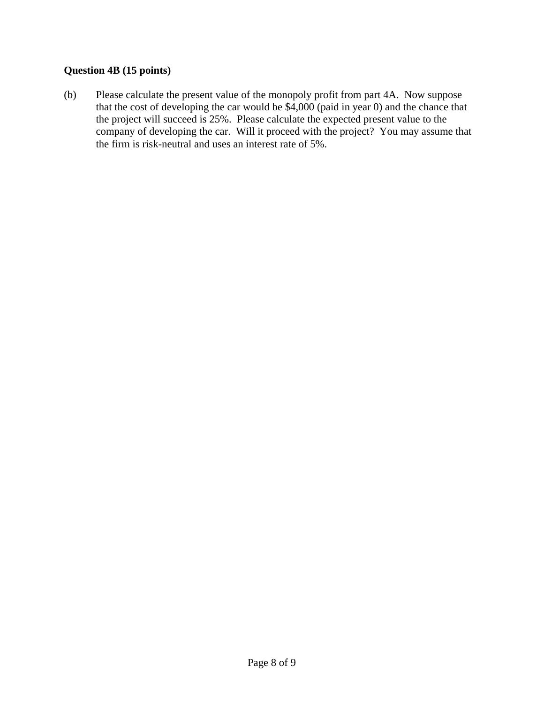# **Question 4B (15 points)**

(b) Please calculate the present value of the monopoly profit from part 4A. Now suppose that the cost of developing the car would be \$4,000 (paid in year 0) and the chance that the project will succeed is 25%. Please calculate the expected present value to the company of developing the car. Will it proceed with the project? You may assume that the firm is risk-neutral and uses an interest rate of 5%.